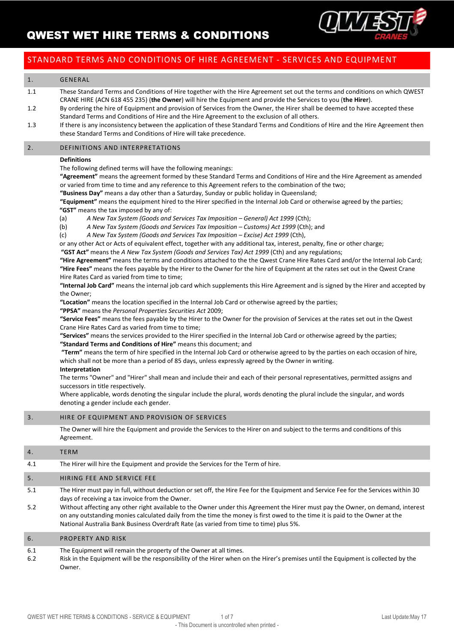

## STANDARD TERMS AND CONDITIONS OF HIRE AGREEMENT - SERVICES AND EQUIPMENT

### 1. GENERAL

- 1.1 These Standard Terms and Conditions of Hire together with the Hire Agreement set out the terms and conditions on which QWEST CRANE HIRE (ACN 618 455 235) (**the Owner**) will hire the Equipment and provide the Services to you (**the Hirer**).
- 1.2 By ordering the hire of Equipment and provision of Services from the Owner, the Hirer shall be deemed to have accepted these Standard Terms and Conditions of Hire and the Hire Agreement to the exclusion of all others.
- 1.3 If there is any inconsistency between the application of these Standard Terms and Conditions of Hire and the Hire Agreement then these Standard Terms and Conditions of Hire will take precedence.

#### 2. DEFINITIONS AND INTERPRETATIONS

#### **Definitions**

The following defined terms will have the following meanings:

**"Agreement"** means the agreement formed by these Standard Terms and Conditions of Hire and the Hire Agreement as amended or varied from time to time and any reference to this Agreement refers to the combination of the two;

**"Business Day"** means a day other than a Saturday, Sunday or public holiday in Queensland;

**"Equipment"** means the equipment hired to the Hirer specified in the Internal Job Card or otherwise agreed by the parties; **"GST"** means the tax imposed by any of:

- (a) *A New Tax System (Goods and Services Tax Imposition – General) Act 1999* (Cth);
- (b) *A New Tax System (Goods and Services Tax Imposition – Customs) Act 1999* (Cth); and
- (c) *A New Tax System (Goods and Services Tax Imposition – Excise) Act 1999* (Cth),

or any other Act or Acts of equivalent effect, together with any additional tax, interest, penalty, fine or other charge;

**"GST Act"** means the *A New Tax System (Goods and Services Tax) Act 1999* (Cth) and any regulations;

**"Hire Agreement"** means the terms and conditions attached to the the Qwest Crane Hire Rates Card and/or the Internal Job Card; **"Hire Fees"** means the fees payable by the Hirer to the Owner for the hire of Equipment at the rates set out in the Qwest Crane Hire Rates Card as varied from time to time;

**"Internal Job Card"** means the internal job card which supplements this Hire Agreement and is signed by the Hirer and accepted by the Owner;

**"Location"** means the location specified in the Internal Job Card or otherwise agreed by the parties;

**"PPSA"** means the *Personal Properties Securities Act* 2009;

**"Service Fees"** means the fees payable by the Hirer to the Owner for the provision of Services at the rates set out in the Qwest Crane Hire Rates Card as varied from time to time;

- **"Services"** means the services provided to the Hirer specified in the Internal Job Card or otherwise agreed by the parties;
- **"Standard Terms and Conditions of Hire"** means this document; and

**"Term"** means the term of hire specified in the Internal Job Card or otherwise agreed to by the parties on each occasion of hire, which shall not be more than a period of 85 days, unless expressly agreed by the Owner in writing.

#### **Interpretation**

The terms "Owner" and "Hirer" shall mean and include their and each of their personal representatives, permitted assigns and successors in title respectively.

Where applicable, words denoting the singular include the plural, words denoting the plural include the singular, and words denoting a gender include each gender.

### 3. HIRE OF EQUIPMENT AND PROVISION OF SERVICES

The Owner will hire the Equipment and provide the Services to the Hirer on and subject to the terms and conditions of this Agreement.

#### 4. TERM

4.1 The Hirer will hire the Equipment and provide the Services for the Term of hire.

#### 5. HIRING FEE AND SERVICE FEE

- 5.1 The Hirer must pay in full, without deduction or set off, the Hire Fee for the Equipment and Service Fee for the Services within 30 days of receiving a tax invoice from the Owner.
- 5.2 Without affecting any other right available to the Owner under this Agreement the Hirer must pay the Owner, on demand, interest on any outstanding monies calculated daily from the time the money is first owed to the time it is paid to the Owner at the National Australia Bank Business Overdraft Rate (as varied from time to time) plus 5%.

#### 6. PROPERTY AND RISK

- 6.1 The Equipment will remain the property of the Owner at all times.
- 6.2 Risk in the Equipment will be the responsibility of the Hirer when on the Hirer's premises until the Equipment is collected by the Owner.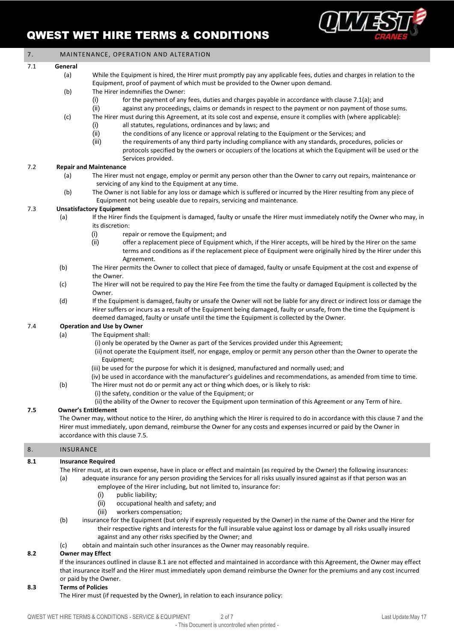

| 7.  | MAINTENANCE, OPERATION AND ALTERATION                                                                                                        |                                                                                                                                                                                                                                                                                                                                                       |
|-----|----------------------------------------------------------------------------------------------------------------------------------------------|-------------------------------------------------------------------------------------------------------------------------------------------------------------------------------------------------------------------------------------------------------------------------------------------------------------------------------------------------------|
| 7.1 | General                                                                                                                                      |                                                                                                                                                                                                                                                                                                                                                       |
|     | (a)                                                                                                                                          | While the Equipment is hired, the Hirer must promptly pay any applicable fees, duties and charges in relation to the<br>Equipment, proof of payment of which must be provided to the Owner upon demand.                                                                                                                                               |
|     | (b)                                                                                                                                          | The Hirer indemnifies the Owner:<br>for the payment of any fees, duties and charges payable in accordance with clause 7.1(a); and<br>(i)<br>(ii)<br>against any proceedings, claims or demands in respect to the payment or non payment of those sums.                                                                                                |
|     | (c)                                                                                                                                          | The Hirer must during this Agreement, at its sole cost and expense, ensure it complies with (where applicable):<br>all statutes, regulations, ordinances and by laws; and<br>(i)                                                                                                                                                                      |
|     |                                                                                                                                              | (ii)<br>the conditions of any licence or approval relating to the Equipment or the Services; and<br>(iii)<br>the requirements of any third party including compliance with any standards, procedures, policies or<br>protocols specified by the owners or occupiers of the locations at which the Equipment will be used or the<br>Services provided. |
| 7.2 |                                                                                                                                              | <b>Repair and Maintenance</b>                                                                                                                                                                                                                                                                                                                         |
|     | (a)                                                                                                                                          | The Hirer must not engage, employ or permit any person other than the Owner to carry out repairs, maintenance or<br>servicing of any kind to the Equipment at any time.                                                                                                                                                                               |
|     | (b)                                                                                                                                          | The Owner is not liable for any loss or damage which is suffered or incurred by the Hirer resulting from any piece of<br>Equipment not being useable due to repairs, servicing and maintenance.                                                                                                                                                       |
| 7.3 |                                                                                                                                              | <b>Unsatisfactory Equipment</b>                                                                                                                                                                                                                                                                                                                       |
|     | (a)                                                                                                                                          | If the Hirer finds the Equipment is damaged, faulty or unsafe the Hirer must immediately notify the Owner who may, in                                                                                                                                                                                                                                 |
|     |                                                                                                                                              | its discretion:                                                                                                                                                                                                                                                                                                                                       |
|     |                                                                                                                                              | (i)<br>repair or remove the Equipment; and                                                                                                                                                                                                                                                                                                            |
|     |                                                                                                                                              | offer a replacement piece of Equipment which, if the Hirer accepts, will be hired by the Hirer on the same<br>(ii)<br>terms and conditions as if the replacement piece of Equipment were originally hired by the Hirer under this<br>Agreement.                                                                                                       |
|     | (b)                                                                                                                                          | The Hirer permits the Owner to collect that piece of damaged, faulty or unsafe Equipment at the cost and expense of<br>the Owner.                                                                                                                                                                                                                     |
|     | (c)                                                                                                                                          | The Hirer will not be required to pay the Hire Fee from the time the faulty or damaged Equipment is collected by the<br>Owner.                                                                                                                                                                                                                        |
|     | (d)                                                                                                                                          | If the Equipment is damaged, faulty or unsafe the Owner will not be liable for any direct or indirect loss or damage the<br>Hirer suffers or incurs as a result of the Equipment being damaged, faulty or unsafe, from the time the Equipment is<br>deemed damaged, faulty or unsafe until the time the Equipment is collected by the Owner.          |
| 7.4 |                                                                                                                                              | <b>Operation and Use by Owner</b>                                                                                                                                                                                                                                                                                                                     |
|     | (a)                                                                                                                                          | The Equipment shall:                                                                                                                                                                                                                                                                                                                                  |
|     |                                                                                                                                              | (i) only be operated by the Owner as part of the Services provided under this Agreement;                                                                                                                                                                                                                                                              |
|     |                                                                                                                                              | (ii) not operate the Equipment itself, nor engage, employ or permit any person other than the Owner to operate the                                                                                                                                                                                                                                    |
|     |                                                                                                                                              | Equipment;                                                                                                                                                                                                                                                                                                                                            |
|     |                                                                                                                                              | (iii) be used for the purpose for which it is designed, manufactured and normally used; and<br>(iv) be used in accordance with the manufacturer's guidelines and recommendations, as amended from time to time.                                                                                                                                       |
|     | (b)                                                                                                                                          | The Hirer must not do or permit any act or thing which does, or is likely to risk:                                                                                                                                                                                                                                                                    |
|     |                                                                                                                                              | (i) the safety, condition or the value of the Equipment; or                                                                                                                                                                                                                                                                                           |
| 7.5 | (ii) the ability of the Owner to recover the Equipment upon termination of this Agreement or any Term of hire.<br><b>Owner's Entitlement</b> |                                                                                                                                                                                                                                                                                                                                                       |
|     |                                                                                                                                              | The Owner may, without notice to the Hirer, do anything which the Hirer is required to do in accordance with this clause 7 and the                                                                                                                                                                                                                    |
|     |                                                                                                                                              | Hirer must immediately, upon demand, reimburse the Owner for any costs and expenses incurred or paid by the Owner in                                                                                                                                                                                                                                  |
|     |                                                                                                                                              | accordance with this clause 7.5.                                                                                                                                                                                                                                                                                                                      |
| 8.  | <b>INSURANCE</b>                                                                                                                             |                                                                                                                                                                                                                                                                                                                                                       |
| 8.1 |                                                                                                                                              | <b>Insurance Required</b>                                                                                                                                                                                                                                                                                                                             |
|     |                                                                                                                                              | The Hirer must, at its own expense, have in place or effect and maintain (as required by the Owner) the following insurances:                                                                                                                                                                                                                         |
|     | (a)                                                                                                                                          | adequate insurance for any person providing the Services for all risks usually insured against as if that person was an<br>employee of the Hirer including, but not limited to, insurance for:                                                                                                                                                        |
|     |                                                                                                                                              | public liability;<br>(i)                                                                                                                                                                                                                                                                                                                              |
|     |                                                                                                                                              | (ii)<br>occupational health and safety; and                                                                                                                                                                                                                                                                                                           |
|     |                                                                                                                                              | (iii)<br>workers compensation;                                                                                                                                                                                                                                                                                                                        |
|     | (b)                                                                                                                                          | insurance for the Equipment (but only if expressly requested by the Owner) in the name of the Owner and the Hirer for<br>their respective rights and interests for the full insurable value against loss or damage by all risks usually insured<br>against and any other risks specified by the Owner; and                                            |
|     | (c)                                                                                                                                          | obtain and maintain such other insurances as the Owner may reasonably require.                                                                                                                                                                                                                                                                        |
| 8.2 |                                                                                                                                              | <b>Owner may Effect</b>                                                                                                                                                                                                                                                                                                                               |
|     |                                                                                                                                              | If the insurances outlined in clause 8.1 are not effected and maintained in accordance with this Agreement, the Owner may effect                                                                                                                                                                                                                      |
|     |                                                                                                                                              | that insurance itself and the Hirer must immediately upon demand reimburse the Owner for the premiums and any cost incurred                                                                                                                                                                                                                           |
| 8.3 | <b>Terms of Policies</b>                                                                                                                     | or paid by the Owner.                                                                                                                                                                                                                                                                                                                                 |
|     |                                                                                                                                              | The Hirer must (if requested by the Owner), in relation to each insurance policy:                                                                                                                                                                                                                                                                     |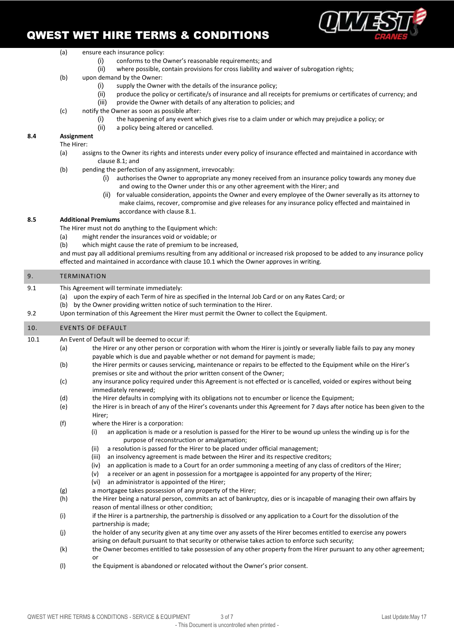

#### (a) ensure each insurance policy:

- (i) conforms to the Owner's reasonable requirements; and
- (ii) where possible, contain provisions for cross liability and waiver of subrogation rights;
- (b) upon demand by the Owner:
	- (i) supply the Owner with the details of the insurance policy;
	- (ii) produce the policy or certificate/s of insurance and all receipts for premiums or certificates of currency; and
	- (iii) provide the Owner with details of any alteration to policies; and
- (c) notify the Owner as soon as possible after:
	- (i) the happening of any event which gives rise to a claim under or which may prejudice a policy; or
	- (ii) a policy being altered or cancelled.

## **8.4 Assignment**

- The Hirer:
	- (a) assigns to the Owner its rights and interests under every policy of insurance effected and maintained in accordance with clause 8.1; and
	- (b) pending the perfection of any assignment, irrevocably:
		- (i) authorises the Owner to appropriate any money received from an insurance policy towards any money due and owing to the Owner under this or any other agreement with the Hirer; and
		- (ii) for valuable consideration, appoints the Owner and every employee of the Owner severally as its attorney to make claims, recover, compromise and give releases for any insurance policy effected and maintained in accordance with clause 8.1.

#### **8.5 Additional Premiums**

- The Hirer must not do anything to the Equipment which:
- (a) might render the insurances void or voidable; or
- (b) which might cause the rate of premium to be increased,

and must pay all additional premiums resulting from any additional or increased risk proposed to be added to any insurance policy effected and maintained in accordance with clause 10.1 which the Owner approves in writing.

#### 9. TERMINATION

- 9.1 This Agreement will terminate immediately:
	- (a) upon the expiry of each Term of hire as specified in the Internal Job Card or on any Rates Card; or
		- (b) by the Owner providing written notice of such termination to the Hirer.
- 9.2 Upon termination of this Agreement the Hirer must permit the Owner to collect the Equipment.

## 10. EVENTS OF DEFAULT

- 10.1 An Event of Default will be deemed to occur if:
	- (a) the Hirer or any other person or corporation with whom the Hirer is jointly or severally liable fails to pay any money payable which is due and payable whether or not demand for payment is made;
	- (b) the Hirer permits or causes servicing, maintenance or repairs to be effected to the Equipment while on the Hirer's premises or site and without the prior written consent of the Owner;
	- (c) any insurance policy required under this Agreement is not effected or is cancelled, voided or expires without being immediately renewed;
	- (d) the Hirer defaults in complying with its obligations not to encumber or licence the Equipment;
	- (e) the Hirer is in breach of any of the Hirer's covenants under this Agreement for 7 days after notice has been given to the Hirer;
	- (f) where the Hirer is a corporation:
		- (i) an application is made or a resolution is passed for the Hirer to be wound up unless the winding up is for the purpose of reconstruction or amalgamation;
		- (ii) a resolution is passed for the Hirer to be placed under official management;
		- (iii) an insolvency agreement is made between the Hirer and its respective creditors;
		- (iv) an application is made to a Court for an order summoning a meeting of any class of creditors of the Hirer;
		- (v) a receiver or an agent in possession for a mortgagee is appointed for any property of the Hirer;
		- (vi) an administrator is appointed of the Hirer;
	- (g) a mortgagee takes possession of any property of the Hirer;
	- (h) the Hirer being a natural person, commits an act of bankruptcy, dies or is incapable of managing their own affairs by reason of mental illness or other condition;
	- (i) if the Hirer is a partnership, the partnership is dissolved or any application to a Court for the dissolution of the partnership is made;
	- (j) the holder of any security given at any time over any assets of the Hirer becomes entitled to exercise any powers arising on default pursuant to that security or otherwise takes action to enforce such security;
	- (k) the Owner becomes entitled to take possession of any other property from the Hirer pursuant to any other agreement; or
	- (l) the Equipment is abandoned or relocated without the Owner's prior consent.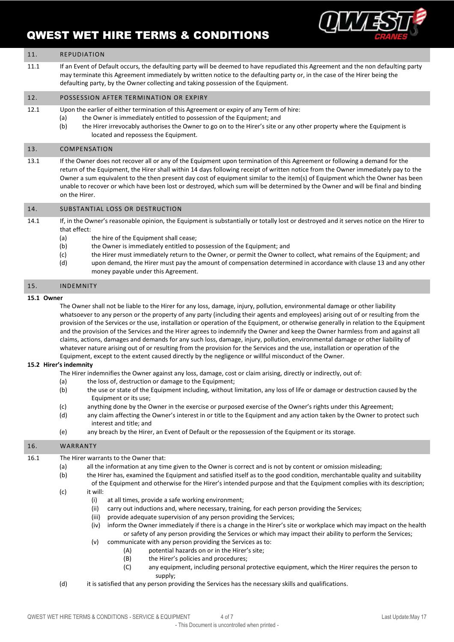

#### 11. REPUDIATION

11.1 If an Event of Default occurs, the defaulting party will be deemed to have repudiated this Agreement and the non defaulting party may terminate this Agreement immediately by written notice to the defaulting party or, in the case of the Hirer being the defaulting party, by the Owner collecting and taking possession of the Equipment.

#### 12. POSSESSION AFTER TERMINATION OR EXPIRY

12.1 Upon the earlier of either termination of this Agreement or expiry of any Term of hire:

- (a) the Owner is immediately entitled to possession of the Equipment: and
- (b) the Hirer irrevocably authorises the Owner to go on to the Hirer's site or any other property where the Equipment is located and repossess the Equipment.

#### 13. COMPENSATION

13.1 If the Owner does not recover all or any of the Equipment upon termination of this Agreement or following a demand for the return of the Equipment, the Hirer shall within 14 days following receipt of written notice from the Owner immediately pay to the Owner a sum equivalent to the then present day cost of equipment similar to the item(s) of Equipment which the Owner has been unable to recover or which have been lost or destroyed, which sum will be determined by the Owner and will be final and binding on the Hirer.

#### 14. SUBSTANTIAL LOSS OR DESTRUCTION

14.1 If, in the Owner's reasonable opinion, the Equipment is substantially or totally lost or destroyed and it serves notice on the Hirer to that effect:

- (a) the hire of the Equipment shall cease:
- (b) the Owner is immediately entitled to possession of the Equipment; and
- (c) the Hirer must immediately return to the Owner, or permit the Owner to collect, what remains of the Equipment; and
- (d) upon demand, the Hirer must pay the amount of compensation determined in accordance with clause 13 and any other money payable under this Agreement.

#### 15. INDEMNITY

#### **15.1 Owner**

The Owner shall not be liable to the Hirer for any loss, damage, injury, pollution, environmental damage or other liability whatsoever to any person or the property of any party (including their agents and employees) arising out of or resulting from the provision of the Services or the use, installation or operation of the Equipment, or otherwise generally in relation to the Equipment and the provision of the Services and the Hirer agrees to indemnify the Owner and keep the Owner harmless from and against all claims, actions, damages and demands for any such loss, damage, injury, pollution, environmental damage or other liability of whatever nature arising out of or resulting from the provision for the Services and the use, installation or operation of the Equipment, except to the extent caused directly by the negligence or willful misconduct of the Owner.

#### **15.2 Hirer's indemnity**

- The Hirer indemnifies the Owner against any loss, damage, cost or claim arising, directly or indirectly, out of:
- (a) the loss of, destruction or damage to the Equipment;
- (b) the use or state of the Equipment including, without limitation, any loss of life or damage or destruction caused by the Equipment or its use;
- (c) anything done by the Owner in the exercise or purposed exercise of the Owner's rights under this Agreement;
- (d) any claim affecting the Owner's interest in or title to the Equipment and any action taken by the Owner to protect such interest and title; and
- (e) any breach by the Hirer, an Event of Default or the repossession of the Equipment or its storage.

#### 16. WARRANTY

- 16.1 The Hirer warrants to the Owner that:
	- (a) all the information at any time given to the Owner is correct and is not by content or omission misleading;
	- (b) the Hirer has, examined the Equipment and satisfied itself as to the good condition, merchantable quality and suitability
	- of the Equipment and otherwise for the Hirer's intended purpose and that the Equipment complies with its description; (c) it will:
		- (i) at all times, provide a safe working environment;
		- (ii) carry out inductions and, where necessary, training, for each person providing the Services;
		- (iii) provide adequate supervision of any person providing the Services;
		- (iv) inform the Owner immediately if there is a change in the Hirer's site or workplace which may impact on the health or safety of any person providing the Services or which may impact their ability to perform the Services;
		- (v) communicate with any person providing the Services as to:
			- (A) potential hazards on or in the Hirer's site;
			- (B) the Hirer's policies and procedures;
			- (C) any equipment, including personal protective equipment, which the Hirer requires the person to supply;
	- (d) it is satisfied that any person providing the Services has the necessary skills and qualifications.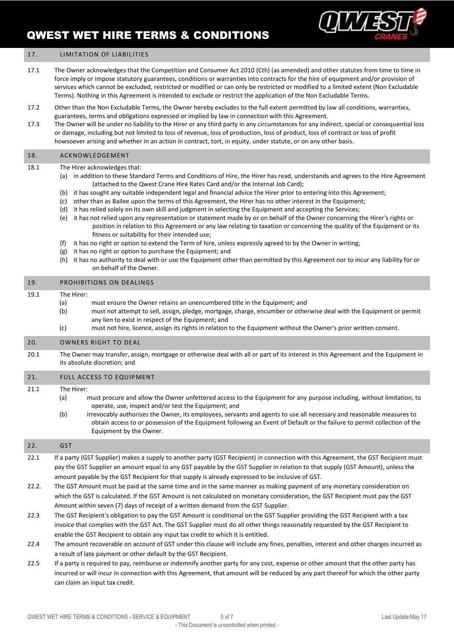

### 17. **LIMITATION OF LIABILITIES**

- 17.1 The Owner acknowledges that the Competition and Consumer Act 2010 (Cth) (as amended) and other statutes from time to time in force imply or impose statutory guarantees, conditions or warranties into contracts for the hire of equipment and/or provision of services which cannot be excluded, restricted or modified or can only be restricted or modified to a limited extent (Non Excludable Terms). Nothing in this Agreement is intended to exclude or restrict the application of the Non Excludable Terms.
- 17.2 Other than the Non Excludable Terms, the Owner hereby excludes to the full extent permitted by law all conditions, warranties, guarantees, terms and obligations expressed or implied by law in connection with this Agreement.
- 17.3 The Owner will be under no liability to the Hirer or any third party in any circumstances for any indirect, special or consequential loss or damage, including but not limited to loss of revenue, loss of production, loss of product, loss of contract or loss of profit howsoever arising and whether in an action in contract, tort, in equity, under statute, or on any other basis.

#### 18. ACKNOWLEDGEMENT

#### 18.1 The Hirer acknowledges that:

- (a) in addition to these Standard Terms and Conditions of Hire, the Hirer has read, understands and agrees to the Hire Agreement (attached to the Qwest Crane Hire Rates Card and/or the Internal Job Card);
- (b) it has sought any suitable independent legal and financial advice the Hirer prior to entering into this Agreement;
- (c) other than as Bailee upon the terms of this Agreement, the Hirer has no other interest in the Equipment;
- (d) it has relied solely on its own skill and judgment in selecting the Equipment and accepting the Services;
- (e) it has not relied upon any representation or statement made by or on behalf of the Owner concerning the Hirer's rights or position in relation to this Agreement or any law relating to taxation or concerning the quality of the Equipment or its fitness or suitability for their intended use;
- (f) it has no right or option to extend the Term of hire, unless expressly agreed to by the Owner in writing;
- (g) it has no right or option to purchase the Equipment; and
- (h) it has no authority to deal with or use the Equipment other than permitted by this Agreement nor to incur any liability for or on behalf of the Owner.

#### 19. PROHIBITIONS ON DEALINGS

#### 19.1 The Hirer:

- (a) must ensure the Owner retains an unencumbered title in the Equipment; and (b) must not attempt to sell, assign, pledge, mortgage, charge, encumber or otherwise deal with the Equipment or permit any lien to exist in respect of the Equipment; and
- (c) must not hire, licence, assign its rights in relation to the Equipment without the Owner's prior written consent.

#### 20. OWNERS RIGHT TO DEAL

20.1 The Owner may transfer, assign, mortgage or otherwise deal with all or part of its interest in this Agreement and the Equipment in its absolute discretion; and

#### 21. FULL ACCESS TO EQUIPMENT

21.1 The Hirer:

- (a) must procure and allow the Owner unfettered access to the Equipment for any purpose including, without limitation, to operate, use, inspect and/or test the Equipment; and
- (b) irrevocably authorises the Owner, its employees, servants and agents to use all necessary and reasonable measures to obtain access to or possession of the Equipment following an Event of Default or the failure to permit collection of the Equipment by the Owner.

#### 22. GST

- 22.1 If a party (GST Supplier) makes a supply to another party (GST Recipient) in connection with this Agreement, the GST Recipient must pay the GST Supplier an amount equal to any GST payable by the GST Supplier in relation to that supply (GST Amount), unless the amount payable by the GST Recipient for that supply is already expressed to be inclusive of GST.
- 22.2. The GST Amount must be paid at the same time and in the same manner as making payment of any monetary consideration on which the GST is calculated. If the GST Amount is not calculated on monetary consideration, the GST Recipient must pay the GST Amount within seven (7) days of receipt of a written demand from the GST Supplier.
- 22.3 The GST Recipient's obligation to pay the GST Amount is conditional on the GST Supplier providing the GST Recipient with a tax invoice that complies with the GST Act. The GST Supplier must do all other things reasonably requested by the GST Recipient to enable the GST Recipient to obtain any input tax credit to which it is entitled.
- 22.4 The amount recoverable on account of GST under this clause will include any fines, penalties, interest and other charges incurred as a result of late payment or other default by the GST Recipient.
- 22.5 If a party is required to pay, reimburse or indemnify another party for any cost, expense or other amount that the other party has incurred or will incur in connection with this Agreement, that amount will be reduced by any part thereof for which the other party can claim an input tax credit.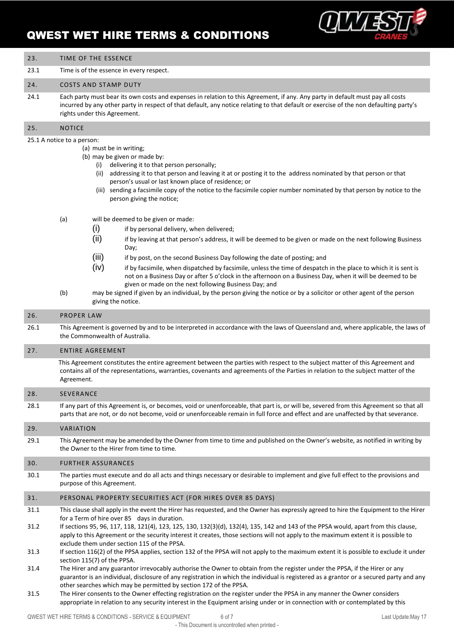

| 23.                 | TIME OF THE ESSENCE                                                                                                                                                                                                                                                                                                                                                                                                                                                                                                                                                                                                                                                                                                                                                         |  |
|---------------------|-----------------------------------------------------------------------------------------------------------------------------------------------------------------------------------------------------------------------------------------------------------------------------------------------------------------------------------------------------------------------------------------------------------------------------------------------------------------------------------------------------------------------------------------------------------------------------------------------------------------------------------------------------------------------------------------------------------------------------------------------------------------------------|--|
| 23.1                | Time is of the essence in every respect.                                                                                                                                                                                                                                                                                                                                                                                                                                                                                                                                                                                                                                                                                                                                    |  |
| 24.                 | <b>COSTS AND STAMP DUTY</b>                                                                                                                                                                                                                                                                                                                                                                                                                                                                                                                                                                                                                                                                                                                                                 |  |
| 24.1                | Each party must bear its own costs and expenses in relation to this Agreement, if any. Any party in default must pay all costs<br>incurred by any other party in respect of that default, any notice relating to that default or exercise of the non defaulting party's<br>rights under this Agreement.                                                                                                                                                                                                                                                                                                                                                                                                                                                                     |  |
| 25.                 | <b>NOTICE</b>                                                                                                                                                                                                                                                                                                                                                                                                                                                                                                                                                                                                                                                                                                                                                               |  |
|                     | 25.1 A notice to a person:<br>(a) must be in writing;<br>(b) may be given or made by:<br>(i) delivering it to that person personally;<br>(ii) addressing it to that person and leaving it at or posting it to the address nominated by that person or that<br>person's usual or last known place of residence; or<br>(iii) sending a facsimile copy of the notice to the facsimile copier number nominated by that person by notice to the<br>person giving the notice;                                                                                                                                                                                                                                                                                                     |  |
|                     | (a)<br>will be deemed to be given or made:<br>(i)<br>if by personal delivery, when delivered;<br>(ii)<br>if by leaving at that person's address, it will be deemed to be given or made on the next following Business<br>Day;<br>(iii)<br>if by post, on the second Business Day following the date of posting; and<br>(iv)<br>if by facsimile, when dispatched by facsimile, unless the time of despatch in the place to which it is sent is<br>not on a Business Day or after 5 o'clock in the afternoon on a Business Day, when it will be deemed to be<br>given or made on the next following Business Day; and<br>(b)<br>may be signed if given by an individual, by the person giving the notice or by a solicitor or other agent of the person<br>giving the notice. |  |
| 26.                 | <b>PROPER LAW</b>                                                                                                                                                                                                                                                                                                                                                                                                                                                                                                                                                                                                                                                                                                                                                           |  |
| 26.1                | This Agreement is governed by and to be interpreted in accordance with the laws of Queensland and, where applicable, the laws of<br>the Commonwealth of Australia.                                                                                                                                                                                                                                                                                                                                                                                                                                                                                                                                                                                                          |  |
| 27.                 | <b>ENTIRE AGREEMENT</b>                                                                                                                                                                                                                                                                                                                                                                                                                                                                                                                                                                                                                                                                                                                                                     |  |
|                     | This Agreement constitutes the entire agreement between the parties with respect to the subject matter of this Agreement and<br>contains all of the representations, warranties, covenants and agreements of the Parties in relation to the subject matter of the<br>Agreement.                                                                                                                                                                                                                                                                                                                                                                                                                                                                                             |  |
| 28.                 | SEVERANCE                                                                                                                                                                                                                                                                                                                                                                                                                                                                                                                                                                                                                                                                                                                                                                   |  |
| 28.1                | If any part of this Agreement is, or becomes, void or unenforceable, that part is, or will be, severed from this Agreement so that all<br>parts that are not, or do not become, void or unenforceable remain in full force and effect and are unaffected by that severance.                                                                                                                                                                                                                                                                                                                                                                                                                                                                                                 |  |
| 29.                 | VARIATION                                                                                                                                                                                                                                                                                                                                                                                                                                                                                                                                                                                                                                                                                                                                                                   |  |
| 29.1                | This Agreement may be amended by the Owner from time to time and published on the Owner's website, as notified in writing by<br>the Owner to the Hirer from time to time.                                                                                                                                                                                                                                                                                                                                                                                                                                                                                                                                                                                                   |  |
| 30.                 | FURTHER ASSURANCES                                                                                                                                                                                                                                                                                                                                                                                                                                                                                                                                                                                                                                                                                                                                                          |  |
| 30.1                | The parties must execute and do all acts and things necessary or desirable to implement and give full effect to the provisions and<br>purpose of this Agreement.                                                                                                                                                                                                                                                                                                                                                                                                                                                                                                                                                                                                            |  |
| 31.                 | PERSONAL PROPERTY SECURITIES ACT (FOR HIRES OVER 85 DAYS)                                                                                                                                                                                                                                                                                                                                                                                                                                                                                                                                                                                                                                                                                                                   |  |
| 31.1<br>31.2        | This clause shall apply in the event the Hirer has requested, and the Owner has expressly agreed to hire the Equipment to the Hirer<br>for a Term of hire over 85 days in duration.<br>If sections 95, 96, 117, 118, 121(4), 123, 125, 130, 132(3)(d), 132(4), 135, 142 and 143 of the PPSA would, apart from this clause,<br>apply to this Agreement or the security interest it creates, those sections will not apply to the maximum extent it is possible to<br>exclude them under section 115 of the PPSA.                                                                                                                                                                                                                                                             |  |
| 31.3                | If section 116(2) of the PPSA applies, section 132 of the PPSA will not apply to the maximum extent it is possible to exclude it under<br>section 115(7) of the PPSA.                                                                                                                                                                                                                                                                                                                                                                                                                                                                                                                                                                                                       |  |
| 31.4<br><b>21 F</b> | The Hirer and any guarantor irrevocably authorise the Owner to obtain from the register under the PPSA, if the Hirer or any<br>guarantor is an individual, disclosure of any registration in which the individual is registered as a grantor or a secured party and any<br>other searches which may be permitted by section 172 of the PPSA.<br>the register under the DDCA in any meaner the Qureer consider                                                                                                                                                                                                                                                                                                                                                               |  |

31.5 The Hirer consents to the Owner effecting registration on the register under the PPSA in any manner the Owner considers appropriate in relation to any security interest in the Equipment arising under or in connection with or contemplated by this